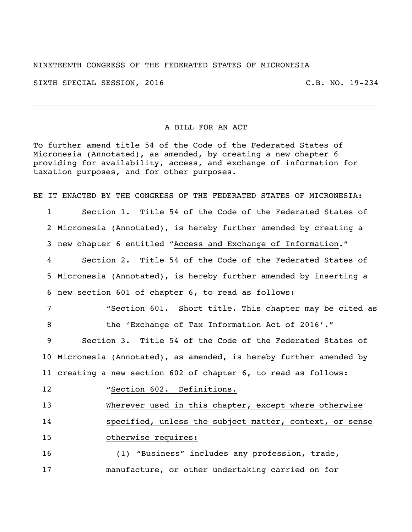NINETEENTH CONGRESS OF THE FEDERATED STATES OF MICRONESIA

SIXTH SPECIAL SESSION, 2016 C.B. NO. 19-234

## A BILL FOR AN ACT

To further amend title 54 of the Code of the Federated States of Micronesia (Annotated), as amended, by creating a new chapter 6 providing for availability, access, and exchange of information for taxation purposes, and for other purposes.

BE IT ENACTED BY THE CONGRESS OF THE FEDERATED STATES OF MICRONESIA: Section 1. Title 54 of the Code of the Federated States of

Micronesia (Annotated), is hereby further amended by creating a

new chapter 6 entitled "Access and Exchange of Information."

 Section 2. Title 54 of the Code of the Federated States of Micronesia (Annotated), is hereby further amended by inserting a new section 601 of chapter 6, to read as follows:

 "Section 601. Short title. This chapter may be cited as 8 the 'Exchange of Tax Information Act of 2016'."

 Section 3. Title 54 of the Code of the Federated States of Micronesia (Annotated), as amended, is hereby further amended by creating a new section 602 of chapter 6, to read as follows:

"Section 602. Definitions.

 Wherever used in this chapter, except where otherwise specified, unless the subject matter, context, or sense

otherwise requires:

 (1) "Business" includes any profession, trade, manufacture, or other undertaking carried on for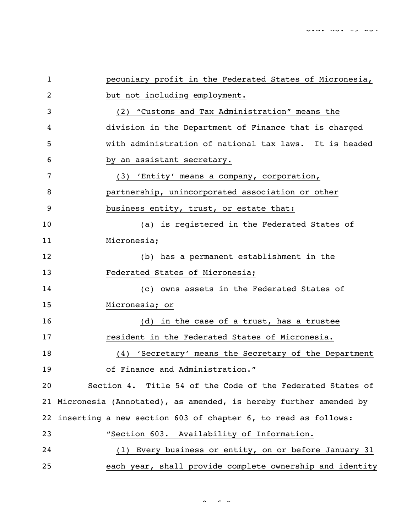| $\mathbf{1}$ | pecuniary profit in the Federated States of Micronesia,             |
|--------------|---------------------------------------------------------------------|
| 2            | but not including employment.                                       |
| 3            | (2) "Customs and Tax Administration" means the                      |
| 4            | division in the Department of Finance that is charged               |
| 5            | with administration of national tax laws. It is headed              |
| 6            | by an assistant secretary.                                          |
| 7            | (3) 'Entity' means a company, corporation,                          |
| 8            | partnership, unincorporated association or other                    |
| 9            | business entity, trust, or estate that:                             |
| 10           | (a) is registered in the Federated States of                        |
| 11           | Micronesia;                                                         |
| 12           | (b) has a permanent establishment in the                            |
| 13           | Federated States of Micronesia;                                     |
| 14           | (c) owns assets in the Federated States of                          |
| 15           | Micronesia; or                                                      |
| 16           | (d) in the case of a trust, has a trustee                           |
| 17           | resident in the Federated States of Micronesia.                     |
| 18           | (4) 'Secretary' means the Secretary of the Department               |
| 19           | of Finance and Administration."                                     |
| 20           | Section 4. Title 54 of the Code of the Federated States of          |
|              | 21 Micronesia (Annotated), as amended, is hereby further amended by |
| 22           | inserting a new section 603 of chapter 6, to read as follows:       |
| 23           | "Section 603. Availability of Information.                          |
| 24           | (1) Every business or entity, on or before January 31               |
| 25           | each year, shall provide complete ownership and identity            |

 $\sim$   $\sim$  7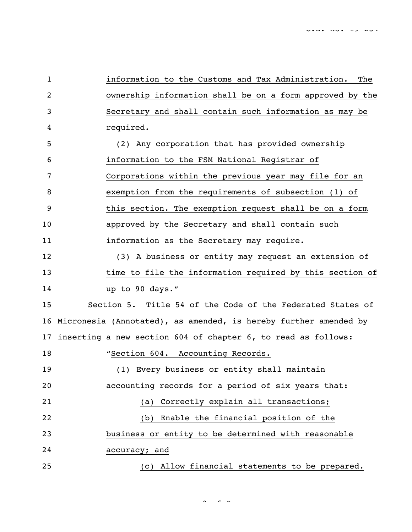| $\mathbf{1}$ | information to the Customs and Tax Administration.<br>The        |
|--------------|------------------------------------------------------------------|
| 2            | ownership information shall be on a form approved by the         |
| 3            | Secretary and shall contain such information as may be           |
| 4            | required.                                                        |
| 5            | (2) Any corporation that has provided ownership                  |
| 6            | information to the FSM National Registrar of                     |
| 7            | Corporations within the previous year may file for an            |
| 8            | exemption from the requirements of subsection (1) of             |
| 9            | this section. The exemption request shall be on a form           |
| 10           | approved by the Secretary and shall contain such                 |
| 11           | information as the Secretary may require.                        |
| 12           | (3) A business or entity may request an extension of             |
| 13           | time to file the information required by this section of         |
| 14           | up to 90 days."                                                  |
| 15           | Section 5. Title 54 of the Code of the Federated States of       |
| 16           | Micronesia (Annotated), as amended, is hereby further amended by |
| 17           | inserting a new section 604 of chapter 6, to read as follows:    |
| 18           | "Section 604. Accounting Records.                                |
| 19           | (1) Every business or entity shall maintain                      |
| 20           | accounting records for a period of six years that:               |
| 21           | Correctly explain all transactions;<br>(a)                       |
| 22           | (b) Enable the financial position of the                         |
| 23           | business or entity to be determined with reasonable              |
| 24           | accuracy; and                                                    |
| 25           | (c) Allow financial statements to be prepared.                   |

 $\sim$   $\sim$  7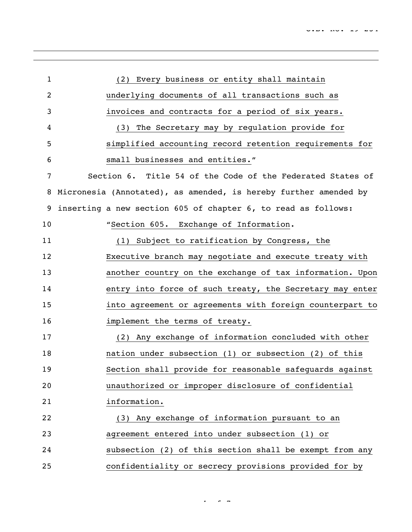| $\mathbf{1}$ | (2) Every business or entity shall maintain                      |
|--------------|------------------------------------------------------------------|
| 2            | underlying documents of all transactions such as                 |
| 3            | invoices and contracts for a period of six years.                |
| 4            | (3) The Secretary may by regulation provide for                  |
| 5            | simplified accounting record retention requirements for          |
| 6            | small businesses and entities."                                  |
| 7            | Section 6. Title 54 of the Code of the Federated States of       |
| 8            | Micronesia (Annotated), as amended, is hereby further amended by |
| 9            | inserting a new section 605 of chapter 6, to read as follows:    |
| 10           | "Section 605. Exchange of Information.                           |
| 11           | (1) Subject to ratification by Congress, the                     |
| 12           | Executive branch may negotiate and execute treaty with           |
| 13           | another country on the exchange of tax information. Upon         |
| 14           | entry into force of such treaty, the Secretary may enter         |
| 15           | into agreement or agreements with foreign counterpart to         |
| 16           | implement the terms of treaty.                                   |
| 17           | (2) Any exchange of information concluded with other             |
| 18           | nation under subsection (1) or subsection (2) of this            |
| 19           | Section shall provide for reasonable safequards against          |
| 20           | unauthorized or improper disclosure of confidential              |
| 21           | information.                                                     |
| 22           | (3) Any exchange of information pursuant to an                   |
| 23           | agreement entered into under subsection (1) or                   |
| 24           | subsection (2) of this section shall be exempt from any          |
| 25           | confidentiality or secrecy provisions provided for by            |

 $\cdot$   $\cdot$   $\cdot$   $\cdot$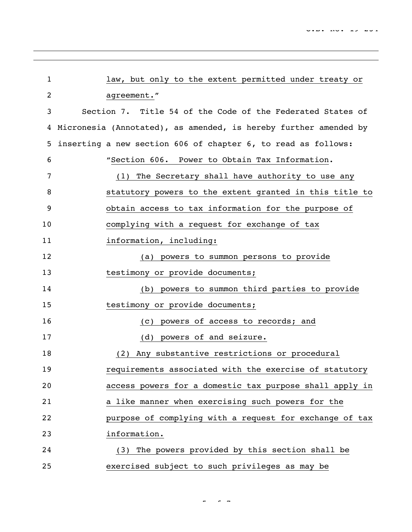| 1  | law, but only to the extent permitted under treaty or            |
|----|------------------------------------------------------------------|
| 2  | agreement."                                                      |
| 3  | Section 7. Title 54 of the Code of the Federated States of       |
| 4  | Micronesia (Annotated), as amended, is hereby further amended by |
| 5  | inserting a new section 606 of chapter 6, to read as follows:    |
| 6  | "Section 606. Power to Obtain Tax Information.                   |
| 7  | The Secretary shall have authority to use any<br>(1)             |
| 8  | statutory powers to the extent granted in this title to          |
| 9  | obtain access to tax information for the purpose of              |
| 10 | complying with a request for exchange of tax                     |
| 11 | information, including:                                          |
| 12 | (a) powers to summon persons to provide                          |
| 13 | testimony or provide documents;                                  |
| 14 | (b) powers to summon third parties to provide                    |
| 15 | testimony or provide documents;                                  |
| 16 | powers of access to records; and<br>(C)                          |
| 17 | powers of and seizure.<br>(d)                                    |
| 18 | Any substantive restrictions or procedural<br>(2)                |
| 19 | requirements associated with the exercise of statutory           |
| 20 | access powers for a domestic tax purpose shall apply in          |
| 21 | a like manner when exercising such powers for the                |
| 22 | purpose of complying with a request for exchange of tax          |
| 23 | information.                                                     |
| 24 | (3) The powers provided by this section shall be                 |
| 25 | exercised subject to such privileges as may be                   |

5 of 7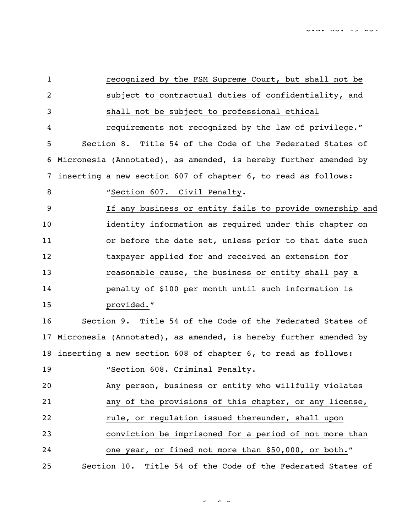| $\mathbf{1}$   | recognized by the FSM Supreme Court, but shall not be            |
|----------------|------------------------------------------------------------------|
| $\overline{c}$ | subject to contractual duties of confidentiality, and            |
| 3              | shall not be subject to professional ethical                     |
| 4              | requirements not recognized by the law of privilege."            |
| 5              | Section 8. Title 54 of the Code of the Federated States of       |
| 6              | Micronesia (Annotated), as amended, is hereby further amended by |
| 7              | inserting a new section 607 of chapter 6, to read as follows:    |
| 8              | "Section 607. Civil Penalty.                                     |
| 9              | If any business or entity fails to provide ownership and         |
| 10             | identity information as required under this chapter on           |
| 11             | or before the date set, unless prior to that date such           |
| 12             | taxpayer applied for and received an extension for               |
| 13             | reasonable cause, the business or entity shall pay a             |
| 14             | penalty of \$100 per month until such information is             |
| 15             | provided."                                                       |
| 16             | Section 9. Title 54 of the Code of the Federated States of       |
| 17             | Micronesia (Annotated), as amended, is hereby further amended by |
| 18             | inserting a new section 608 of chapter 6, to read as follows:    |
| 19             | "Section 608. Criminal Penalty.                                  |
| 20             | Any person, business or entity who willfully violates            |
| 21             | any of the provisions of this chapter, or any license,           |
| 22             | rule, or regulation issued thereunder, shall upon                |
| 23             | conviction be imprisoned for a period of not more than           |
| 24             | one year, or fined not more than \$50,000, or both."             |
| 25             | Section 10.<br>Title 54 of the Code of the Federated States of   |

 $\sim$   $\sim$  7